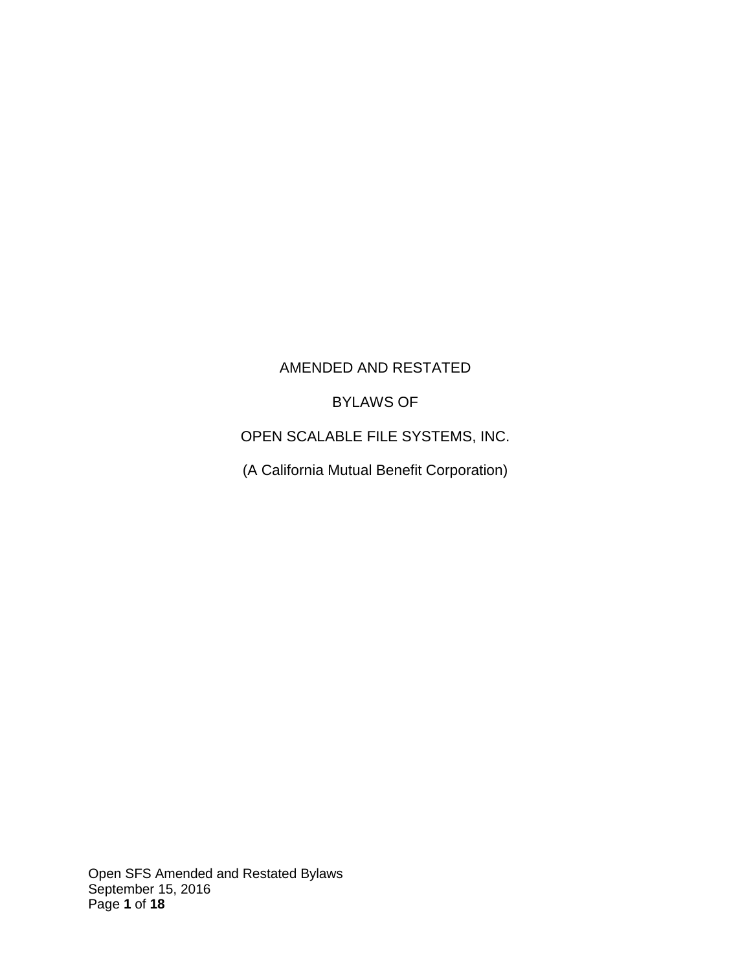### AMENDED AND RESTATED

BYLAWS OF

OPEN SCALABLE FILE SYSTEMS, INC.

(A California Mutual Benefit Corporation)

Open SFS Amended and Restated Bylaws September 15, 2016 Page **1** of **18**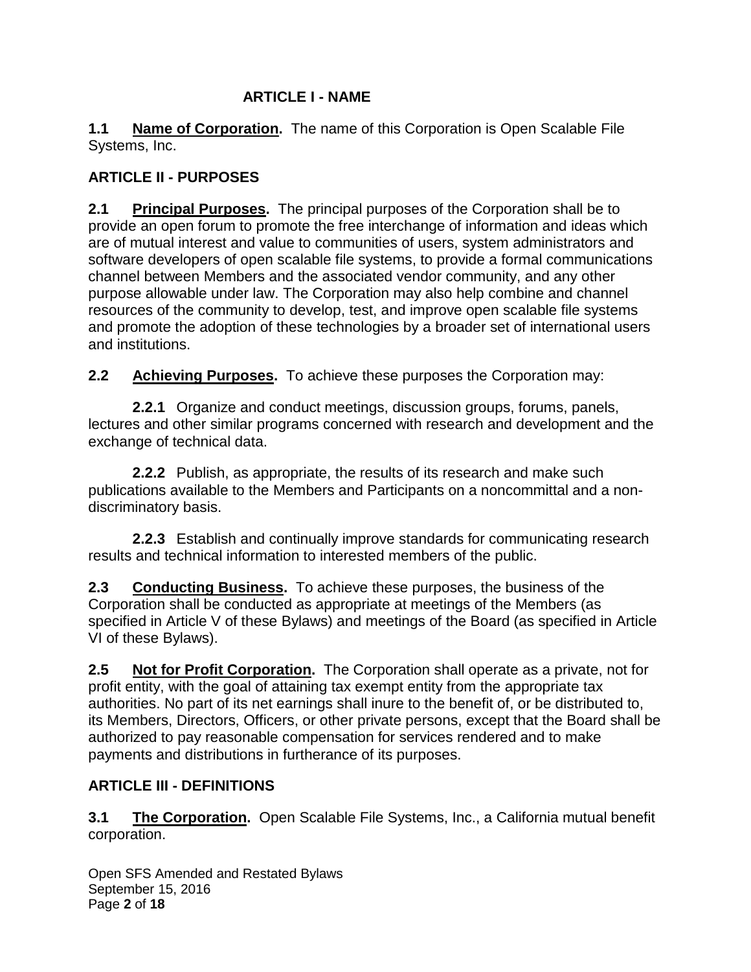#### **ARTICLE I - NAME**

**1.1 Name of Corporation.** The name of this Corporation is Open Scalable File Systems, Inc.

## **ARTICLE II - PURPOSES**

**2.1 Principal Purposes.** The principal purposes of the Corporation shall be to provide an open forum to promote the free interchange of information and ideas which are of mutual interest and value to communities of users, system administrators and software developers of open scalable file systems, to provide a formal communications channel between Members and the associated vendor community, and any other purpose allowable under law. The Corporation may also help combine and channel resources of the community to develop, test, and improve open scalable file systems and promote the adoption of these technologies by a broader set of international users and institutions.

**2.2 Achieving Purposes.** To achieve these purposes the Corporation may:

**2.2.1** Organize and conduct meetings, discussion groups, forums, panels, lectures and other similar programs concerned with research and development and the exchange of technical data.

**2.2.2** Publish, as appropriate, the results of its research and make such publications available to the Members and Participants on a noncommittal and a nondiscriminatory basis.

**2.2.3** Establish and continually improve standards for communicating research results and technical information to interested members of the public.

**2.3 Conducting Business.** To achieve these purposes, the business of the Corporation shall be conducted as appropriate at meetings of the Members (as specified in Article V of these Bylaws) and meetings of the Board (as specified in Article VI of these Bylaws).

**2.5 Not for Profit Corporation.** The Corporation shall operate as a private, not for profit entity, with the goal of attaining tax exempt entity from the appropriate tax authorities. No part of its net earnings shall inure to the benefit of, or be distributed to, its Members, Directors, Officers, or other private persons, except that the Board shall be authorized to pay reasonable compensation for services rendered and to make payments and distributions in furtherance of its purposes.

### **ARTICLE III - DEFINITIONS**

**3.1 The Corporation.** Open Scalable File Systems, Inc., a California mutual benefit corporation.

Open SFS Amended and Restated Bylaws September 15, 2016 Page **2** of **18**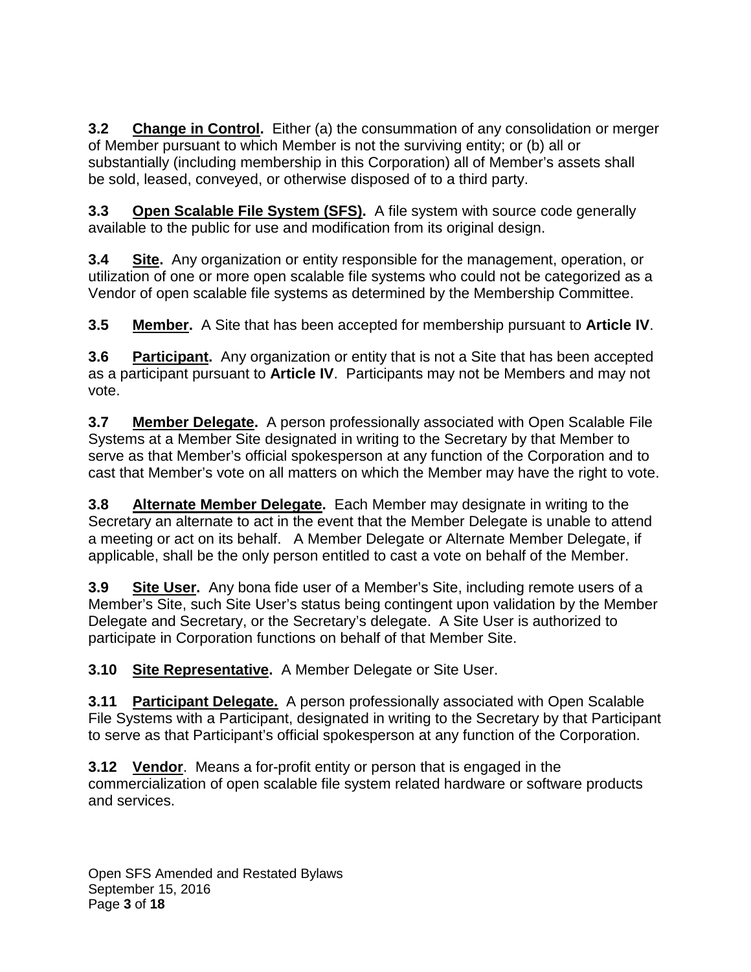**3.2 Change in Control.** Either (a) the consummation of any consolidation or merger of Member pursuant to which Member is not the surviving entity; or (b) all or substantially (including membership in this Corporation) all of Member's assets shall be sold, leased, conveyed, or otherwise disposed of to a third party.

**3.3 Open Scalable File System (SFS).** A file system with source code generally available to the public for use and modification from its original design.

**3.4 Site.** Any organization or entity responsible for the management, operation, or utilization of one or more open scalable file systems who could not be categorized as a Vendor of open scalable file systems as determined by the Membership Committee.

**3.5 Member.** A Site that has been accepted for membership pursuant to **Article IV**.

**3.6 Participant.** Any organization or entity that is not a Site that has been accepted as a participant pursuant to **Article IV**. Participants may not be Members and may not vote.

**3.7 Member Delegate.** A person professionally associated with Open Scalable File Systems at a Member Site designated in writing to the Secretary by that Member to serve as that Member's official spokesperson at any function of the Corporation and to cast that Member's vote on all matters on which the Member may have the right to vote.

**3.8 Alternate Member Delegate.** Each Member may designate in writing to the Secretary an alternate to act in the event that the Member Delegate is unable to attend a meeting or act on its behalf. A Member Delegate or Alternate Member Delegate, if applicable, shall be the only person entitled to cast a vote on behalf of the Member.

**3.9 Site User.** Any bona fide user of a Member's Site, including remote users of a Member's Site, such Site User's status being contingent upon validation by the Member Delegate and Secretary, or the Secretary's delegate. A Site User is authorized to participate in Corporation functions on behalf of that Member Site.

**3.10 Site Representative.** A Member Delegate or Site User.

**3.11 Participant Delegate.** A person professionally associated with Open Scalable File Systems with a Participant, designated in writing to the Secretary by that Participant to serve as that Participant's official spokesperson at any function of the Corporation.

**3.12 Vendor**. Means a for-profit entity or person that is engaged in the commercialization of open scalable file system related hardware or software products and services.

Open SFS Amended and Restated Bylaws September 15, 2016 Page **3** of **18**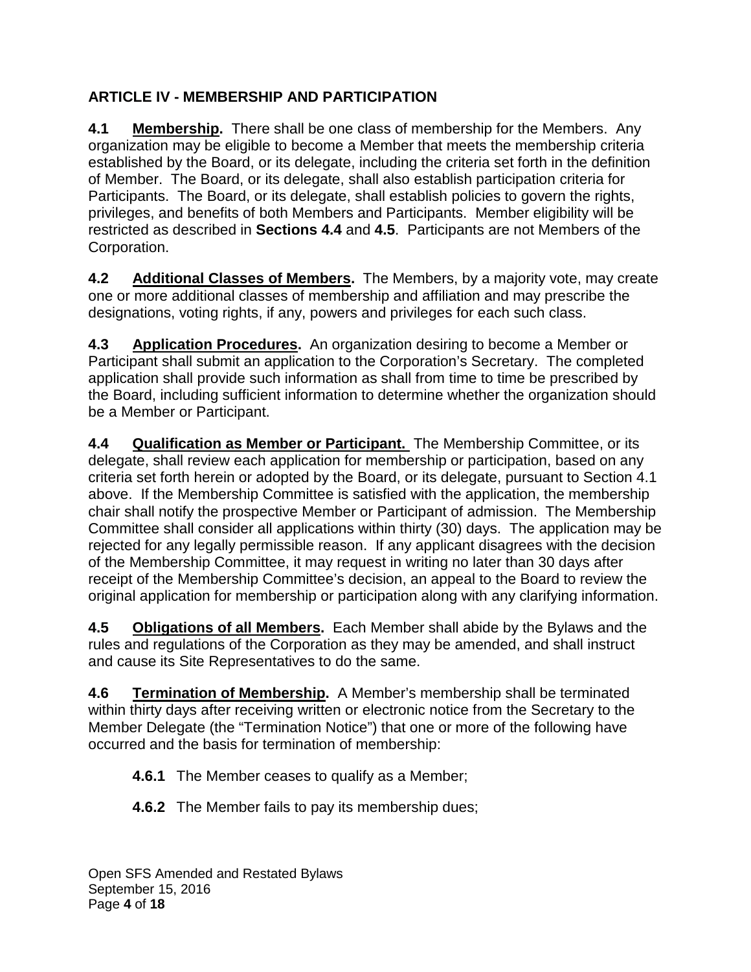# **ARTICLE IV - MEMBERSHIP AND PARTICIPATION**

**4.1 Membership.** There shall be one class of membership for the Members. Any organization may be eligible to become a Member that meets the membership criteria established by the Board, or its delegate, including the criteria set forth in the definition of Member. The Board, or its delegate, shall also establish participation criteria for Participants. The Board, or its delegate, shall establish policies to govern the rights, privileges, and benefits of both Members and Participants. Member eligibility will be restricted as described in **Sections 4.4** and **4.5**. Participants are not Members of the Corporation.

**4.2 Additional Classes of Members.** The Members, by a majority vote, may create one or more additional classes of membership and affiliation and may prescribe the designations, voting rights, if any, powers and privileges for each such class.

**4.3 Application Procedures.** An organization desiring to become a Member or Participant shall submit an application to the Corporation's Secretary. The completed application shall provide such information as shall from time to time be prescribed by the Board, including sufficient information to determine whether the organization should be a Member or Participant.

**4.4 Qualification as Member or Participant.** The Membership Committee, or its delegate, shall review each application for membership or participation, based on any criteria set forth herein or adopted by the Board, or its delegate, pursuant to Section 4.1 above. If the Membership Committee is satisfied with the application, the membership chair shall notify the prospective Member or Participant of admission. The Membership Committee shall consider all applications within thirty (30) days. The application may be rejected for any legally permissible reason. If any applicant disagrees with the decision of the Membership Committee, it may request in writing no later than 30 days after receipt of the Membership Committee's decision, an appeal to the Board to review the original application for membership or participation along with any clarifying information.

**4.5 Obligations of all Members.** Each Member shall abide by the Bylaws and the rules and regulations of the Corporation as they may be amended, and shall instruct and cause its Site Representatives to do the same.

**4.6 Termination of Membership.** A Member's membership shall be terminated within thirty days after receiving written or electronic notice from the Secretary to the Member Delegate (the "Termination Notice") that one or more of the following have occurred and the basis for termination of membership:

**4.6.1** The Member ceases to qualify as a Member;

**4.6.2** The Member fails to pay its membership dues;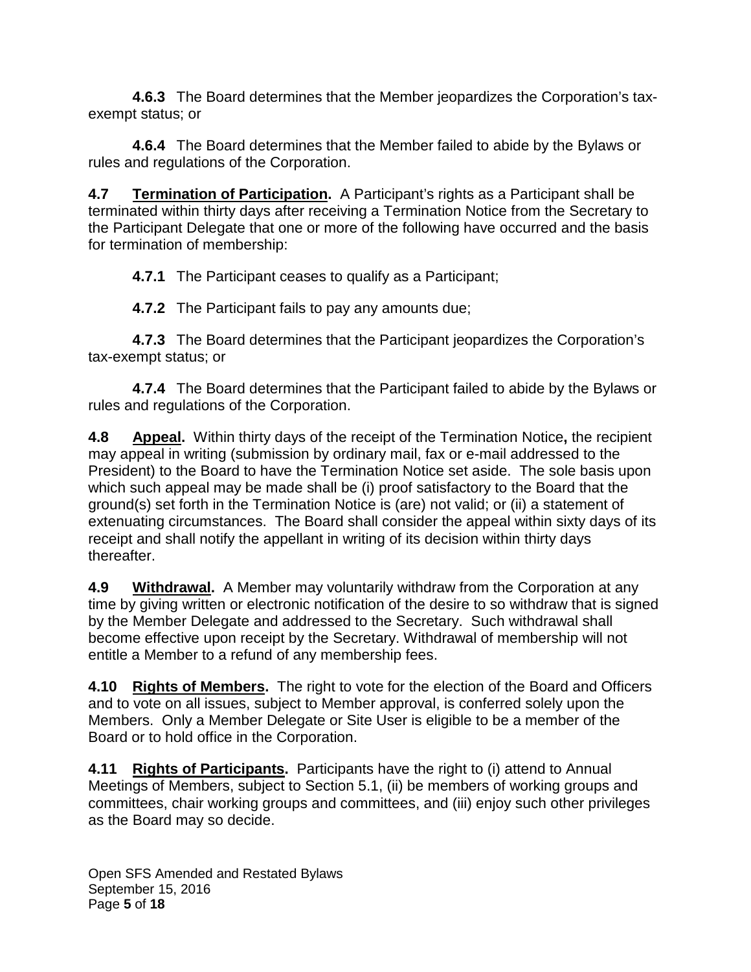**4.6.3** The Board determines that the Member jeopardizes the Corporation's taxexempt status; or

**4.6.4** The Board determines that the Member failed to abide by the Bylaws or rules and regulations of the Corporation.

**4.7 Termination of Participation.** A Participant's rights as a Participant shall be terminated within thirty days after receiving a Termination Notice from the Secretary to the Participant Delegate that one or more of the following have occurred and the basis for termination of membership:

**4.7.1** The Participant ceases to qualify as a Participant;

**4.7.2** The Participant fails to pay any amounts due;

**4.7.3** The Board determines that the Participant jeopardizes the Corporation's tax-exempt status; or

**4.7.4** The Board determines that the Participant failed to abide by the Bylaws or rules and regulations of the Corporation.

**4.8 Appeal.** Within thirty days of the receipt of the Termination Notice**,** the recipient may appeal in writing (submission by ordinary mail, fax or e-mail addressed to the President) to the Board to have the Termination Notice set aside. The sole basis upon which such appeal may be made shall be (i) proof satisfactory to the Board that the ground(s) set forth in the Termination Notice is (are) not valid; or (ii) a statement of extenuating circumstances. The Board shall consider the appeal within sixty days of its receipt and shall notify the appellant in writing of its decision within thirty days thereafter.

**4.9 Withdrawal.** A Member may voluntarily withdraw from the Corporation at any time by giving written or electronic notification of the desire to so withdraw that is signed by the Member Delegate and addressed to the Secretary. Such withdrawal shall become effective upon receipt by the Secretary. Withdrawal of membership will not entitle a Member to a refund of any membership fees.

**4.10 Rights of Members.** The right to vote for the election of the Board and Officers and to vote on all issues, subject to Member approval, is conferred solely upon the Members. Only a Member Delegate or Site User is eligible to be a member of the Board or to hold office in the Corporation.

**4.11 Rights of Participants.** Participants have the right to (i) attend to Annual Meetings of Members, subject to Section 5.1, (ii) be members of working groups and committees, chair working groups and committees, and (iii) enjoy such other privileges as the Board may so decide.

Open SFS Amended and Restated Bylaws September 15, 2016 Page **5** of **18**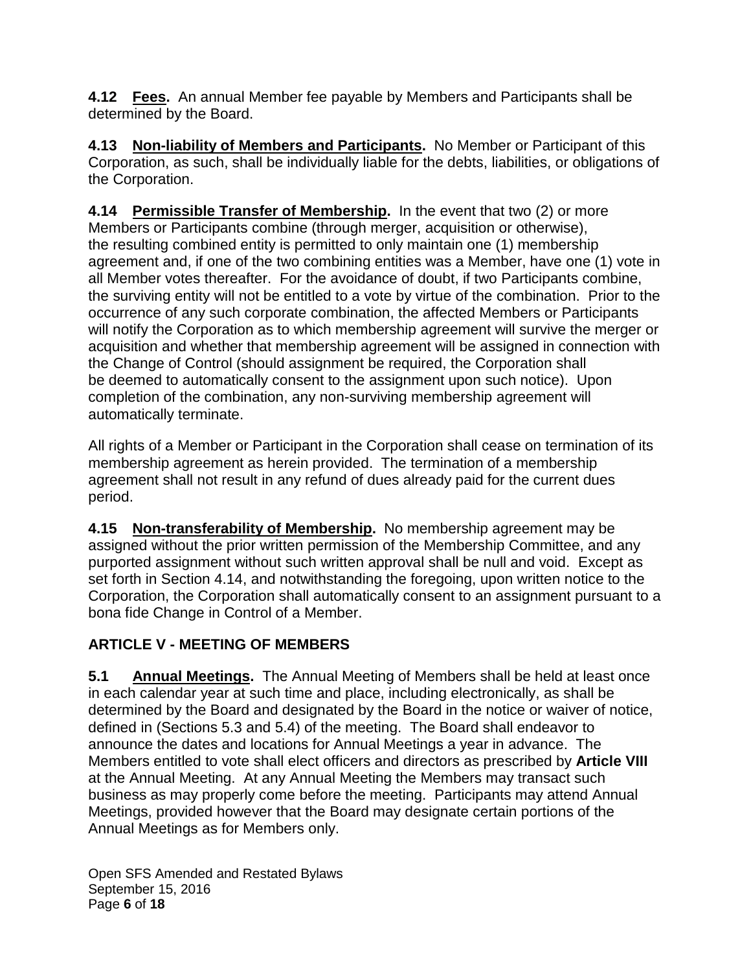**4.12 Fees.** An annual Member fee payable by Members and Participants shall be determined by the Board.

**4.13 Non-liability of Members and Participants.** No Member or Participant of this Corporation, as such, shall be individually liable for the debts, liabilities, or obligations of the Corporation.

**4.14 Permissible Transfer of Membership.** In the event that two (2) or more Members or Participants combine (through merger, acquisition or otherwise), the resulting combined entity is permitted to only maintain one (1) membership agreement and, if one of the two combining entities was a Member, have one (1) vote in all Member votes thereafter. For the avoidance of doubt, if two Participants combine, the surviving entity will not be entitled to a vote by virtue of the combination. Prior to the occurrence of any such corporate combination, the affected Members or Participants will notify the Corporation as to which membership agreement will survive the merger or acquisition and whether that membership agreement will be assigned in connection with the Change of Control (should assignment be required, the Corporation shall be deemed to automatically consent to the assignment upon such notice). Upon completion of the combination, any non-surviving membership agreement will automatically terminate.

All rights of a Member or Participant in the Corporation shall cease on termination of its membership agreement as herein provided. The termination of a membership agreement shall not result in any refund of dues already paid for the current dues period.

**4.15 Non-transferability of Membership.** No membership agreement may be assigned without the prior written permission of the Membership Committee, and any purported assignment without such written approval shall be null and void. Except as set forth in Section 4.14, and notwithstanding the foregoing, upon written notice to the Corporation, the Corporation shall automatically consent to an assignment pursuant to a bona fide Change in Control of a Member.

# **ARTICLE V - MEETING OF MEMBERS**

**5.1 Annual Meetings.** The Annual Meeting of Members shall be held at least once in each calendar year at such time and place, including electronically, as shall be determined by the Board and designated by the Board in the notice or waiver of notice, defined in (Sections 5.3 and 5.4) of the meeting. The Board shall endeavor to announce the dates and locations for Annual Meetings a year in advance. The Members entitled to vote shall elect officers and directors as prescribed by **Article VIII** at the Annual Meeting. At any Annual Meeting the Members may transact such business as may properly come before the meeting. Participants may attend Annual Meetings, provided however that the Board may designate certain portions of the Annual Meetings as for Members only.

Open SFS Amended and Restated Bylaws September 15, 2016 Page **6** of **18**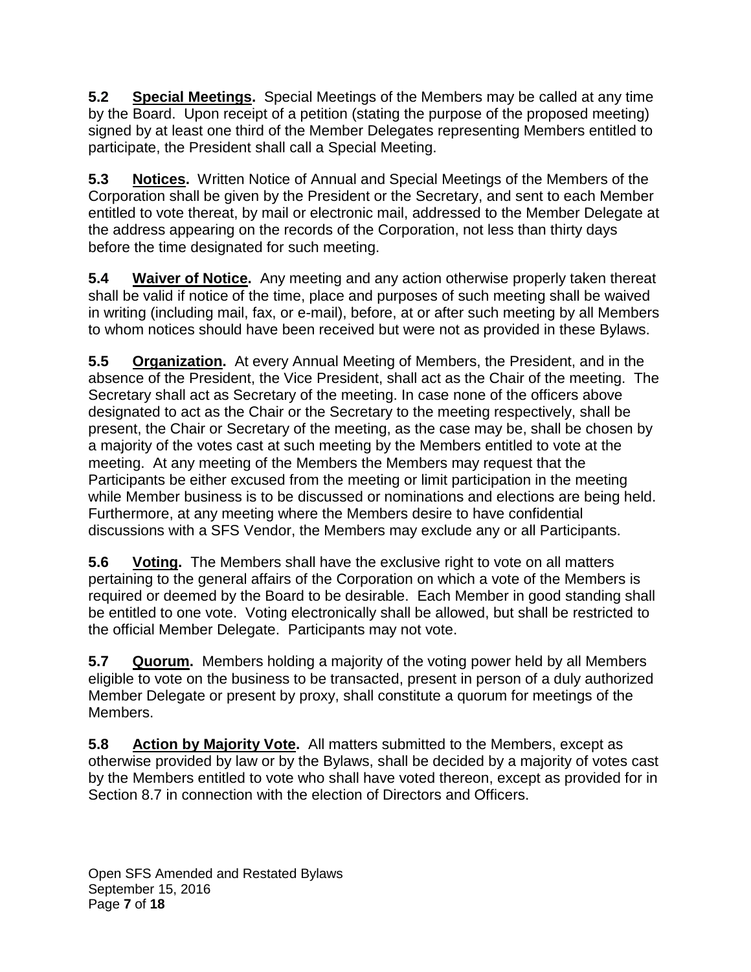**5.2 Special Meetings.** Special Meetings of the Members may be called at any time by the Board. Upon receipt of a petition (stating the purpose of the proposed meeting) signed by at least one third of the Member Delegates representing Members entitled to participate, the President shall call a Special Meeting.

**5.3 Notices.** Written Notice of Annual and Special Meetings of the Members of the Corporation shall be given by the President or the Secretary, and sent to each Member entitled to vote thereat, by mail or electronic mail, addressed to the Member Delegate at the address appearing on the records of the Corporation, not less than thirty days before the time designated for such meeting.

**5.4 Waiver of Notice.** Any meeting and any action otherwise properly taken thereat shall be valid if notice of the time, place and purposes of such meeting shall be waived in writing (including mail, fax, or e-mail), before, at or after such meeting by all Members to whom notices should have been received but were not as provided in these Bylaws.

**5.5 Organization.** At every Annual Meeting of Members, the President, and in the absence of the President, the Vice President, shall act as the Chair of the meeting. The Secretary shall act as Secretary of the meeting. In case none of the officers above designated to act as the Chair or the Secretary to the meeting respectively, shall be present, the Chair or Secretary of the meeting, as the case may be, shall be chosen by a majority of the votes cast at such meeting by the Members entitled to vote at the meeting. At any meeting of the Members the Members may request that the Participants be either excused from the meeting or limit participation in the meeting while Member business is to be discussed or nominations and elections are being held. Furthermore, at any meeting where the Members desire to have confidential discussions with a SFS Vendor, the Members may exclude any or all Participants.

**5.6 Voting.** The Members shall have the exclusive right to vote on all matters pertaining to the general affairs of the Corporation on which a vote of the Members is required or deemed by the Board to be desirable. Each Member in good standing shall be entitled to one vote. Voting electronically shall be allowed, but shall be restricted to the official Member Delegate. Participants may not vote.

**5.7 Quorum.** Members holding a majority of the voting power held by all Members eligible to vote on the business to be transacted, present in person of a duly authorized Member Delegate or present by proxy, shall constitute a quorum for meetings of the Members.

**5.8 Action by Majority Vote.** All matters submitted to the Members, except as otherwise provided by law or by the Bylaws, shall be decided by a majority of votes cast by the Members entitled to vote who shall have voted thereon, except as provided for in Section 8.7 in connection with the election of Directors and Officers.

Open SFS Amended and Restated Bylaws September 15, 2016 Page **7** of **18**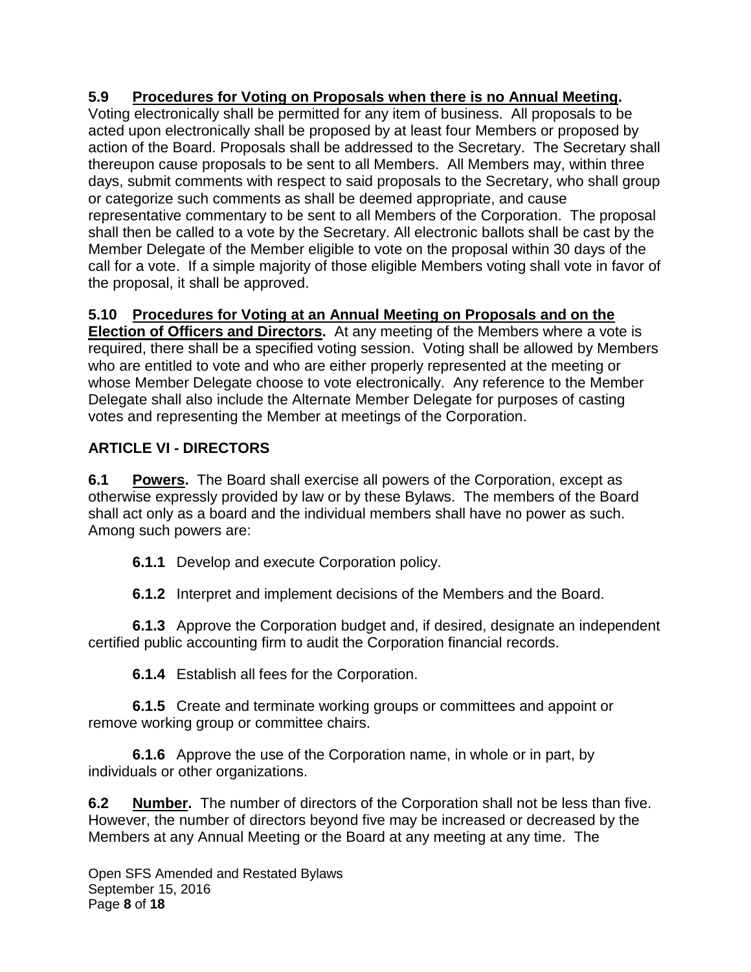## **5.9 Procedures for Voting on Proposals when there is no Annual Meeting.**

Voting electronically shall be permitted for any item of business. All proposals to be acted upon electronically shall be proposed by at least four Members or proposed by action of the Board. Proposals shall be addressed to the Secretary. The Secretary shall thereupon cause proposals to be sent to all Members. All Members may, within three days, submit comments with respect to said proposals to the Secretary, who shall group or categorize such comments as shall be deemed appropriate, and cause representative commentary to be sent to all Members of the Corporation. The proposal shall then be called to a vote by the Secretary. All electronic ballots shall be cast by the Member Delegate of the Member eligible to vote on the proposal within 30 days of the call for a vote. If a simple majority of those eligible Members voting shall vote in favor of the proposal, it shall be approved.

# **5.10 Procedures for Voting at an Annual Meeting on Proposals and on the**

**Election of Officers and Directors.** At any meeting of the Members where a vote is required, there shall be a specified voting session. Voting shall be allowed by Members who are entitled to vote and who are either properly represented at the meeting or whose Member Delegate choose to vote electronically. Any reference to the Member Delegate shall also include the Alternate Member Delegate for purposes of casting votes and representing the Member at meetings of the Corporation.

# **ARTICLE VI - DIRECTORS**

**6.1 Powers.** The Board shall exercise all powers of the Corporation, except as otherwise expressly provided by law or by these Bylaws. The members of the Board shall act only as a board and the individual members shall have no power as such. Among such powers are:

**6.1.1** Develop and execute Corporation policy.

**6.1.2** Interpret and implement decisions of the Members and the Board.

**6.1.3** Approve the Corporation budget and, if desired, designate an independent certified public accounting firm to audit the Corporation financial records.

**6.1.4** Establish all fees for the Corporation.

**6.1.5** Create and terminate working groups or committees and appoint or remove working group or committee chairs.

**6.1.6** Approve the use of the Corporation name, in whole or in part, by individuals or other organizations.

**6.2 Number.** The number of directors of the Corporation shall not be less than five. However, the number of directors beyond five may be increased or decreased by the Members at any Annual Meeting or the Board at any meeting at any time. The

Open SFS Amended and Restated Bylaws September 15, 2016 Page **8** of **18**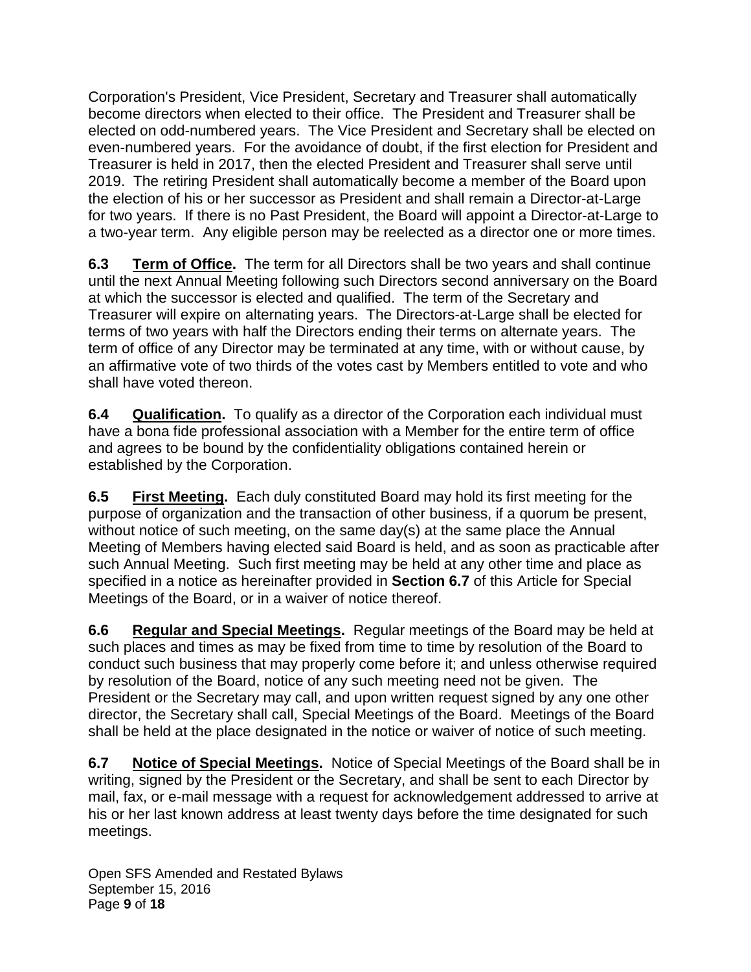Corporation's President, Vice President, Secretary and Treasurer shall automatically become directors when elected to their office. The President and Treasurer shall be elected on odd-numbered years. The Vice President and Secretary shall be elected on even-numbered years. For the avoidance of doubt, if the first election for President and Treasurer is held in 2017, then the elected President and Treasurer shall serve until 2019. The retiring President shall automatically become a member of the Board upon the election of his or her successor as President and shall remain a Director-at-Large for two years. If there is no Past President, the Board will appoint a Director-at-Large to a two-year term. Any eligible person may be reelected as a director one or more times.

**6.3 Term of Office.** The term for all Directors shall be two years and shall continue until the next Annual Meeting following such Directors second anniversary on the Board at which the successor is elected and qualified. The term of the Secretary and Treasurer will expire on alternating years. The Directors-at-Large shall be elected for terms of two years with half the Directors ending their terms on alternate years. The term of office of any Director may be terminated at any time, with or without cause, by an affirmative vote of two thirds of the votes cast by Members entitled to vote and who shall have voted thereon.

**6.4 Qualification.** To qualify as a director of the Corporation each individual must have a bona fide professional association with a Member for the entire term of office and agrees to be bound by the confidentiality obligations contained herein or established by the Corporation.

**6.5 First Meeting.** Each duly constituted Board may hold its first meeting for the purpose of organization and the transaction of other business, if a quorum be present, without notice of such meeting, on the same day(s) at the same place the Annual Meeting of Members having elected said Board is held, and as soon as practicable after such Annual Meeting. Such first meeting may be held at any other time and place as specified in a notice as hereinafter provided in **Section 6.7** of this Article for Special Meetings of the Board, or in a waiver of notice thereof.

**6.6 Regular and Special Meetings.** Regular meetings of the Board may be held at such places and times as may be fixed from time to time by resolution of the Board to conduct such business that may properly come before it; and unless otherwise required by resolution of the Board, notice of any such meeting need not be given. The President or the Secretary may call, and upon written request signed by any one other director, the Secretary shall call, Special Meetings of the Board. Meetings of the Board shall be held at the place designated in the notice or waiver of notice of such meeting.

**6.7 Notice of Special Meetings.** Notice of Special Meetings of the Board shall be in writing, signed by the President or the Secretary, and shall be sent to each Director by mail, fax, or e-mail message with a request for acknowledgement addressed to arrive at his or her last known address at least twenty days before the time designated for such meetings.

Open SFS Amended and Restated Bylaws September 15, 2016 Page **9** of **18**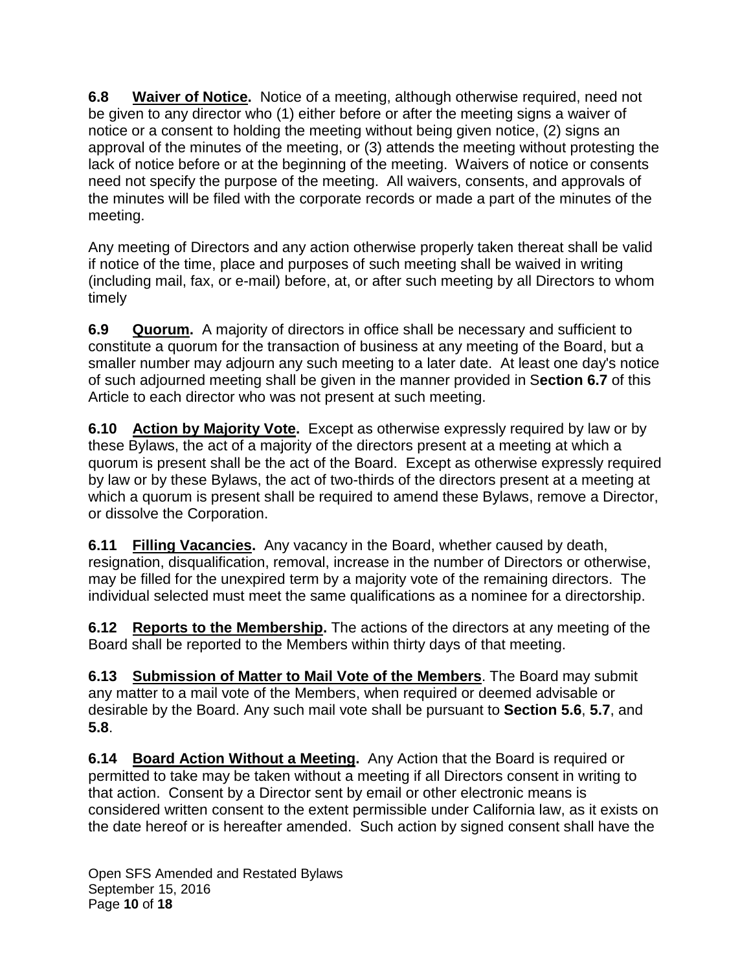**6.8 Waiver of Notice.** Notice of a meeting, although otherwise required, need not be given to any director who (1) either before or after the meeting signs a waiver of notice or a consent to holding the meeting without being given notice, (2) signs an approval of the minutes of the meeting, or (3) attends the meeting without protesting the lack of notice before or at the beginning of the meeting. Waivers of notice or consents need not specify the purpose of the meeting. All waivers, consents, and approvals of the minutes will be filed with the corporate records or made a part of the minutes of the meeting.

Any meeting of Directors and any action otherwise properly taken thereat shall be valid if notice of the time, place and purposes of such meeting shall be waived in writing (including mail, fax, or e-mail) before, at, or after such meeting by all Directors to whom timely

**6.9 Quorum.** A majority of directors in office shall be necessary and sufficient to constitute a quorum for the transaction of business at any meeting of the Board, but a smaller number may adjourn any such meeting to a later date. At least one day's notice of such adjourned meeting shall be given in the manner provided in S**ection 6.7** of this Article to each director who was not present at such meeting.

**6.10 Action by Majority Vote.** Except as otherwise expressly required by law or by these Bylaws, the act of a majority of the directors present at a meeting at which a quorum is present shall be the act of the Board. Except as otherwise expressly required by law or by these Bylaws, the act of two-thirds of the directors present at a meeting at which a quorum is present shall be required to amend these Bylaws, remove a Director, or dissolve the Corporation.

**6.11 Filling Vacancies.** Any vacancy in the Board, whether caused by death, resignation, disqualification, removal, increase in the number of Directors or otherwise, may be filled for the unexpired term by a majority vote of the remaining directors. The individual selected must meet the same qualifications as a nominee for a directorship.

**6.12 Reports to the Membership.** The actions of the directors at any meeting of the Board shall be reported to the Members within thirty days of that meeting.

**6.13 Submission of Matter to Mail Vote of the Members**. The Board may submit any matter to a mail vote of the Members, when required or deemed advisable or desirable by the Board. Any such mail vote shall be pursuant to **Section 5.6**, **5.7**, and **5.8**.

**6.14 Board Action Without a Meeting.** Any Action that the Board is required or permitted to take may be taken without a meeting if all Directors consent in writing to that action. Consent by a Director sent by email or other electronic means is considered written consent to the extent permissible under California law, as it exists on the date hereof or is hereafter amended. Such action by signed consent shall have the

Open SFS Amended and Restated Bylaws September 15, 2016 Page **10** of **18**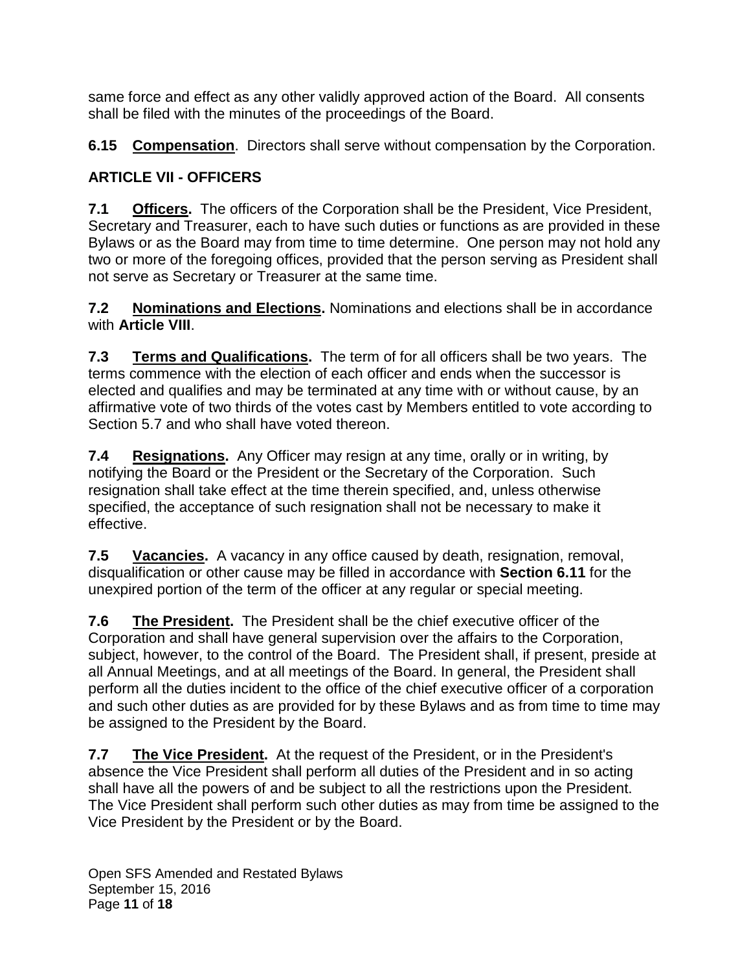same force and effect as any other validly approved action of the Board. All consents shall be filed with the minutes of the proceedings of the Board.

**6.15 Compensation**. Directors shall serve without compensation by the Corporation.

# **ARTICLE VII - OFFICERS**

**7.1 Officers.** The officers of the Corporation shall be the President, Vice President, Secretary and Treasurer, each to have such duties or functions as are provided in these Bylaws or as the Board may from time to time determine. One person may not hold any two or more of the foregoing offices, provided that the person serving as President shall not serve as Secretary or Treasurer at the same time.

**7.2 Nominations and Elections.** Nominations and elections shall be in accordance with **Article VIII**.

**7.3 Terms and Qualifications.** The term of for all officers shall be two years. The terms commence with the election of each officer and ends when the successor is elected and qualifies and may be terminated at any time with or without cause, by an affirmative vote of two thirds of the votes cast by Members entitled to vote according to Section 5.7 and who shall have voted thereon.

**7.4 Resignations.** Any Officer may resign at any time, orally or in writing, by notifying the Board or the President or the Secretary of the Corporation. Such resignation shall take effect at the time therein specified, and, unless otherwise specified, the acceptance of such resignation shall not be necessary to make it effective.

**7.5 Vacancies.** A vacancy in any office caused by death, resignation, removal, disqualification or other cause may be filled in accordance with **Section 6.11** for the unexpired portion of the term of the officer at any regular or special meeting.

**7.6 The President.** The President shall be the chief executive officer of the Corporation and shall have general supervision over the affairs to the Corporation, subject, however, to the control of the Board. The President shall, if present, preside at all Annual Meetings, and at all meetings of the Board. In general, the President shall perform all the duties incident to the office of the chief executive officer of a corporation and such other duties as are provided for by these Bylaws and as from time to time may be assigned to the President by the Board.

**7.7 The Vice President.** At the request of the President, or in the President's absence the Vice President shall perform all duties of the President and in so acting shall have all the powers of and be subject to all the restrictions upon the President. The Vice President shall perform such other duties as may from time be assigned to the Vice President by the President or by the Board.

Open SFS Amended and Restated Bylaws September 15, 2016 Page **11** of **18**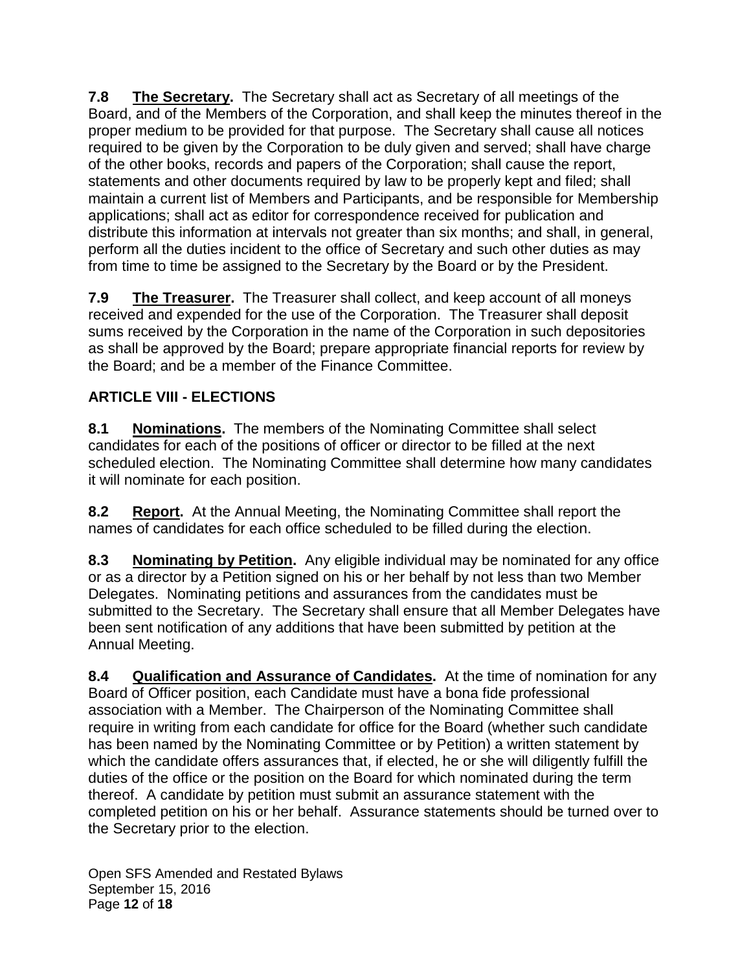**7.8 The Secretary.** The Secretary shall act as Secretary of all meetings of the Board, and of the Members of the Corporation, and shall keep the minutes thereof in the proper medium to be provided for that purpose. The Secretary shall cause all notices required to be given by the Corporation to be duly given and served; shall have charge of the other books, records and papers of the Corporation; shall cause the report, statements and other documents required by law to be properly kept and filed; shall maintain a current list of Members and Participants, and be responsible for Membership applications; shall act as editor for correspondence received for publication and distribute this information at intervals not greater than six months; and shall, in general, perform all the duties incident to the office of Secretary and such other duties as may from time to time be assigned to the Secretary by the Board or by the President.

**7.9 The Treasurer.** The Treasurer shall collect, and keep account of all moneys received and expended for the use of the Corporation. The Treasurer shall deposit sums received by the Corporation in the name of the Corporation in such depositories as shall be approved by the Board; prepare appropriate financial reports for review by the Board; and be a member of the Finance Committee.

# **ARTICLE VIII - ELECTIONS**

**8.1 Nominations.** The members of the Nominating Committee shall select candidates for each of the positions of officer or director to be filled at the next scheduled election. The Nominating Committee shall determine how many candidates it will nominate for each position.

**8.2 Report.** At the Annual Meeting, the Nominating Committee shall report the names of candidates for each office scheduled to be filled during the election.

**8.3 Nominating by Petition.** Any eligible individual may be nominated for any office or as a director by a Petition signed on his or her behalf by not less than two Member Delegates. Nominating petitions and assurances from the candidates must be submitted to the Secretary. The Secretary shall ensure that all Member Delegates have been sent notification of any additions that have been submitted by petition at the Annual Meeting.

**8.4 Qualification and Assurance of Candidates.** At the time of nomination for any Board of Officer position, each Candidate must have a bona fide professional association with a Member. The Chairperson of the Nominating Committee shall require in writing from each candidate for office for the Board (whether such candidate has been named by the Nominating Committee or by Petition) a written statement by which the candidate offers assurances that, if elected, he or she will diligently fulfill the duties of the office or the position on the Board for which nominated during the term thereof. A candidate by petition must submit an assurance statement with the completed petition on his or her behalf. Assurance statements should be turned over to the Secretary prior to the election.

Open SFS Amended and Restated Bylaws September 15, 2016 Page **12** of **18**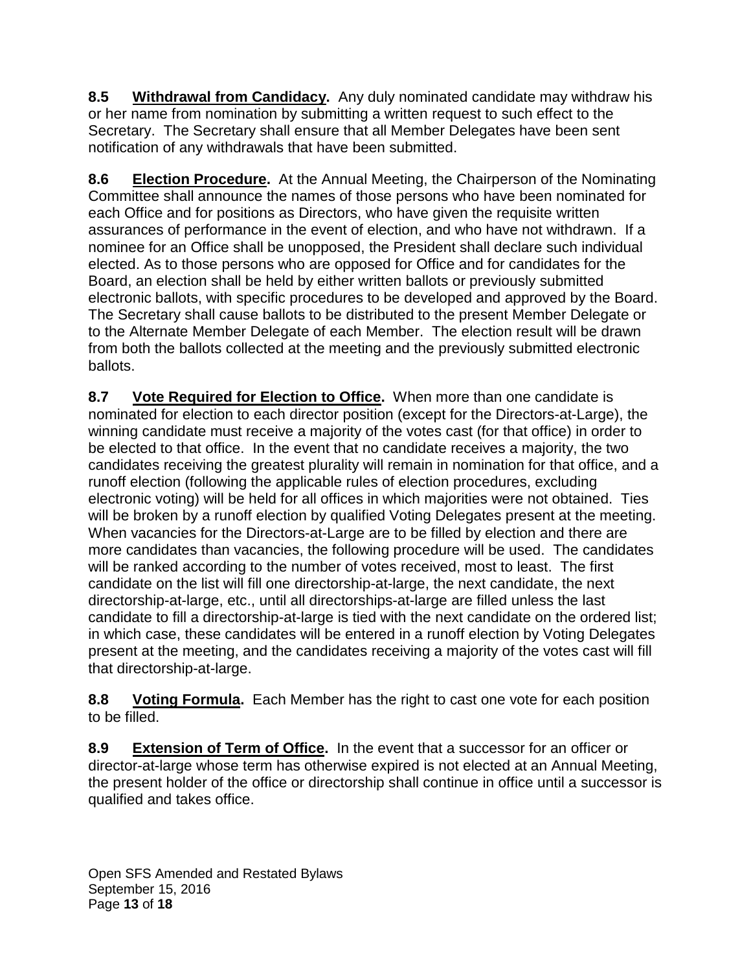**8.5 Withdrawal from Candidacy.** Any duly nominated candidate may withdraw his or her name from nomination by submitting a written request to such effect to the Secretary. The Secretary shall ensure that all Member Delegates have been sent notification of any withdrawals that have been submitted.

**8.6 Election Procedure.** At the Annual Meeting, the Chairperson of the Nominating Committee shall announce the names of those persons who have been nominated for each Office and for positions as Directors, who have given the requisite written assurances of performance in the event of election, and who have not withdrawn. If a nominee for an Office shall be unopposed, the President shall declare such individual elected. As to those persons who are opposed for Office and for candidates for the Board, an election shall be held by either written ballots or previously submitted electronic ballots, with specific procedures to be developed and approved by the Board. The Secretary shall cause ballots to be distributed to the present Member Delegate or to the Alternate Member Delegate of each Member. The election result will be drawn from both the ballots collected at the meeting and the previously submitted electronic ballots.

**8.7 Vote Required for Election to Office.** When more than one candidate is nominated for election to each director position (except for the Directors-at-Large), the winning candidate must receive a majority of the votes cast (for that office) in order to be elected to that office. In the event that no candidate receives a majority, the two candidates receiving the greatest plurality will remain in nomination for that office, and a runoff election (following the applicable rules of election procedures, excluding electronic voting) will be held for all offices in which majorities were not obtained. Ties will be broken by a runoff election by qualified Voting Delegates present at the meeting. When vacancies for the Directors-at-Large are to be filled by election and there are more candidates than vacancies, the following procedure will be used. The candidates will be ranked according to the number of votes received, most to least. The first candidate on the list will fill one directorship-at-large, the next candidate, the next directorship-at-large, etc., until all directorships-at-large are filled unless the last candidate to fill a directorship-at-large is tied with the next candidate on the ordered list; in which case, these candidates will be entered in a runoff election by Voting Delegates present at the meeting, and the candidates receiving a majority of the votes cast will fill that directorship-at-large.

**8.8 Voting Formula.** Each Member has the right to cast one vote for each position to be filled.

**8.9 Extension of Term of Office.** In the event that a successor for an officer or director-at-large whose term has otherwise expired is not elected at an Annual Meeting, the present holder of the office or directorship shall continue in office until a successor is qualified and takes office.

Open SFS Amended and Restated Bylaws September 15, 2016 Page **13** of **18**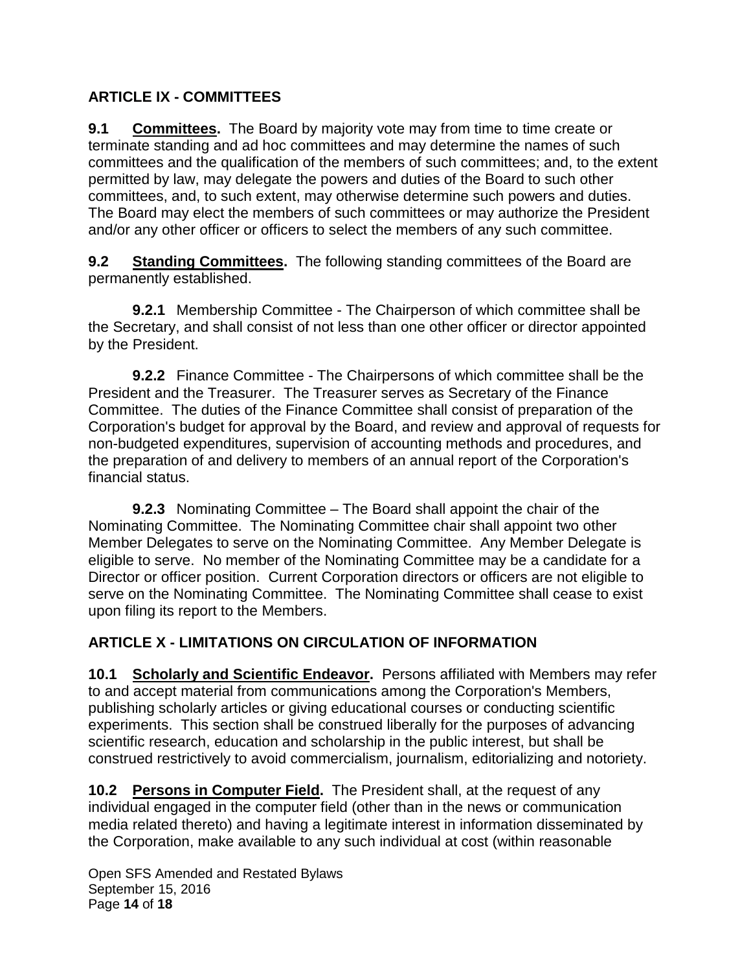#### **ARTICLE IX - COMMITTEES**

**9.1 Committees.** The Board by majority vote may from time to time create or terminate standing and ad hoc committees and may determine the names of such committees and the qualification of the members of such committees; and, to the extent permitted by law, may delegate the powers and duties of the Board to such other committees, and, to such extent, may otherwise determine such powers and duties. The Board may elect the members of such committees or may authorize the President and/or any other officer or officers to select the members of any such committee.

**9.2 Standing Committees.** The following standing committees of the Board are permanently established.

**9.2.1** Membership Committee - The Chairperson of which committee shall be the Secretary, and shall consist of not less than one other officer or director appointed by the President.

**9.2.2** Finance Committee - The Chairpersons of which committee shall be the President and the Treasurer. The Treasurer serves as Secretary of the Finance Committee. The duties of the Finance Committee shall consist of preparation of the Corporation's budget for approval by the Board, and review and approval of requests for non-budgeted expenditures, supervision of accounting methods and procedures, and the preparation of and delivery to members of an annual report of the Corporation's financial status.

**9.2.3** Nominating Committee – The Board shall appoint the chair of the Nominating Committee. The Nominating Committee chair shall appoint two other Member Delegates to serve on the Nominating Committee. Any Member Delegate is eligible to serve. No member of the Nominating Committee may be a candidate for a Director or officer position. Current Corporation directors or officers are not eligible to serve on the Nominating Committee. The Nominating Committee shall cease to exist upon filing its report to the Members.

### **ARTICLE X - LIMITATIONS ON CIRCULATION OF INFORMATION**

**10.1 Scholarly and Scientific Endeavor.** Persons affiliated with Members may refer to and accept material from communications among the Corporation's Members, publishing scholarly articles or giving educational courses or conducting scientific experiments. This section shall be construed liberally for the purposes of advancing scientific research, education and scholarship in the public interest, but shall be construed restrictively to avoid commercialism, journalism, editorializing and notoriety.

**10.2 Persons in Computer Field.** The President shall, at the request of any individual engaged in the computer field (other than in the news or communication media related thereto) and having a legitimate interest in information disseminated by the Corporation, make available to any such individual at cost (within reasonable

Open SFS Amended and Restated Bylaws September 15, 2016 Page **14** of **18**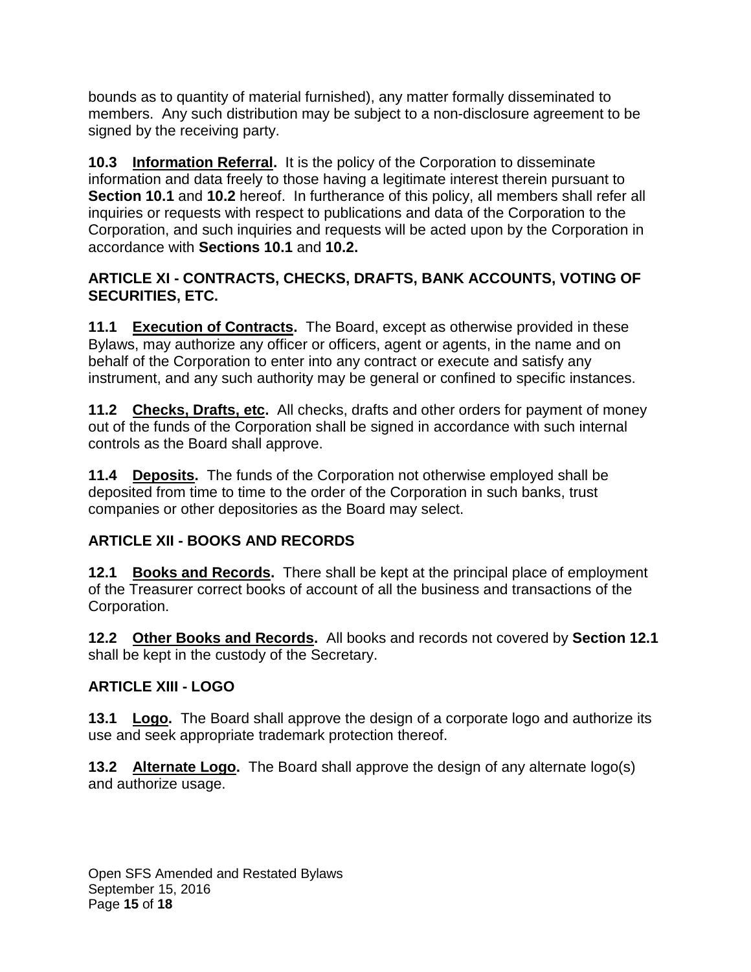bounds as to quantity of material furnished), any matter formally disseminated to members. Any such distribution may be subject to a non-disclosure agreement to be signed by the receiving party.

**10.3 Information Referral.** It is the policy of the Corporation to disseminate information and data freely to those having a legitimate interest therein pursuant to **Section 10.1** and **10.2** hereof. In furtherance of this policy, all members shall refer all inquiries or requests with respect to publications and data of the Corporation to the Corporation, and such inquiries and requests will be acted upon by the Corporation in accordance with **Sections 10.1** and **10.2.**

#### **ARTICLE XI - CONTRACTS, CHECKS, DRAFTS, BANK ACCOUNTS, VOTING OF SECURITIES, ETC.**

**11.1 Execution of Contracts.** The Board, except as otherwise provided in these Bylaws, may authorize any officer or officers, agent or agents, in the name and on behalf of the Corporation to enter into any contract or execute and satisfy any instrument, and any such authority may be general or confined to specific instances.

**11.2 Checks, Drafts, etc.** All checks, drafts and other orders for payment of money out of the funds of the Corporation shall be signed in accordance with such internal controls as the Board shall approve.

**11.4 Deposits.** The funds of the Corporation not otherwise employed shall be deposited from time to time to the order of the Corporation in such banks, trust companies or other depositories as the Board may select.

### **ARTICLE XII - BOOKS AND RECORDS**

**12.1 Books and Records.** There shall be kept at the principal place of employment of the Treasurer correct books of account of all the business and transactions of the Corporation.

**12.2 Other Books and Records.** All books and records not covered by **Section 12.1**  shall be kept in the custody of the Secretary.

### **ARTICLE XIII - LOGO**

**13.1 Logo.** The Board shall approve the design of a corporate logo and authorize its use and seek appropriate trademark protection thereof.

**13.2 Alternate Logo.** The Board shall approve the design of any alternate logo(s) and authorize usage.

Open SFS Amended and Restated Bylaws September 15, 2016 Page **15** of **18**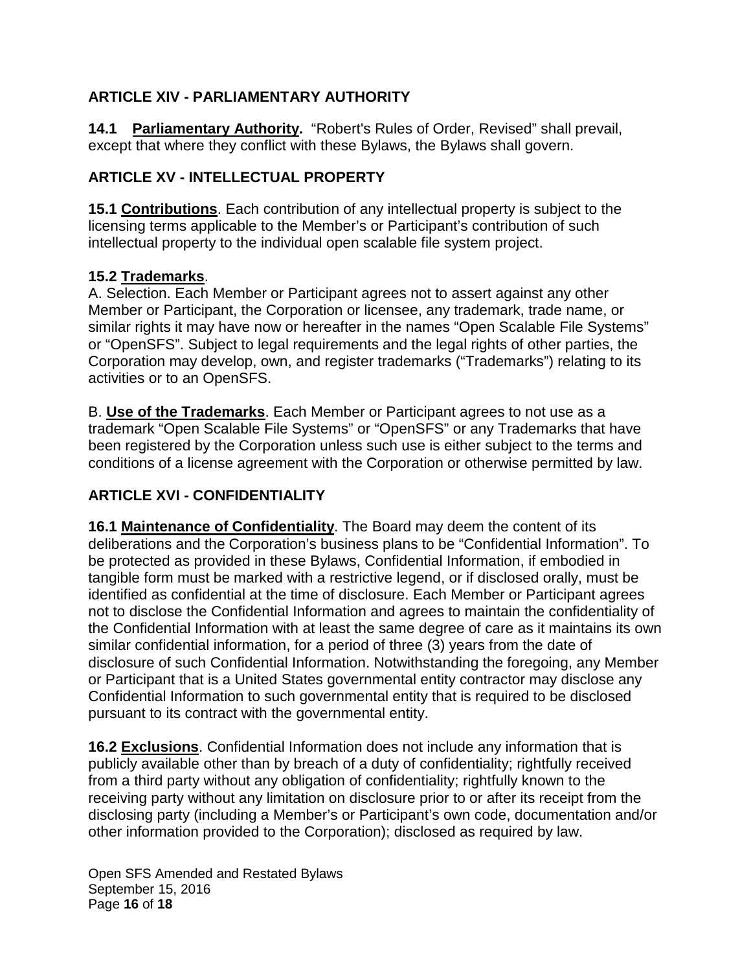### **ARTICLE XIV - PARLIAMENTARY AUTHORITY**

**14.1 Parliamentary Authority.** "Robert's Rules of Order, Revised" shall prevail, except that where they conflict with these Bylaws, the Bylaws shall govern.

#### **ARTICLE XV - INTELLECTUAL PROPERTY**

**15.1 Contributions**. Each contribution of any intellectual property is subject to the licensing terms applicable to the Member's or Participant's contribution of such intellectual property to the individual open scalable file system project.

#### **15.2 Trademarks**.

A. Selection. Each Member or Participant agrees not to assert against any other Member or Participant, the Corporation or licensee, any trademark, trade name, or similar rights it may have now or hereafter in the names "Open Scalable File Systems" or "OpenSFS". Subject to legal requirements and the legal rights of other parties, the Corporation may develop, own, and register trademarks ("Trademarks") relating to its activities or to an OpenSFS.

B. **Use of the Trademarks**. Each Member or Participant agrees to not use as a trademark "Open Scalable File Systems" or "OpenSFS" or any Trademarks that have been registered by the Corporation unless such use is either subject to the terms and conditions of a license agreement with the Corporation or otherwise permitted by law.

## **ARTICLE XVI - CONFIDENTIALITY**

**16.1 Maintenance of Confidentiality**. The Board may deem the content of its deliberations and the Corporation's business plans to be "Confidential Information". To be protected as provided in these Bylaws, Confidential Information, if embodied in tangible form must be marked with a restrictive legend, or if disclosed orally, must be identified as confidential at the time of disclosure. Each Member or Participant agrees not to disclose the Confidential Information and agrees to maintain the confidentiality of the Confidential Information with at least the same degree of care as it maintains its own similar confidential information, for a period of three (3) years from the date of disclosure of such Confidential Information. Notwithstanding the foregoing, any Member or Participant that is a United States governmental entity contractor may disclose any Confidential Information to such governmental entity that is required to be disclosed pursuant to its contract with the governmental entity.

**16.2 Exclusions**. Confidential Information does not include any information that is publicly available other than by breach of a duty of confidentiality; rightfully received from a third party without any obligation of confidentiality; rightfully known to the receiving party without any limitation on disclosure prior to or after its receipt from the disclosing party (including a Member's or Participant's own code, documentation and/or other information provided to the Corporation); disclosed as required by law.

Open SFS Amended and Restated Bylaws September 15, 2016 Page **16** of **18**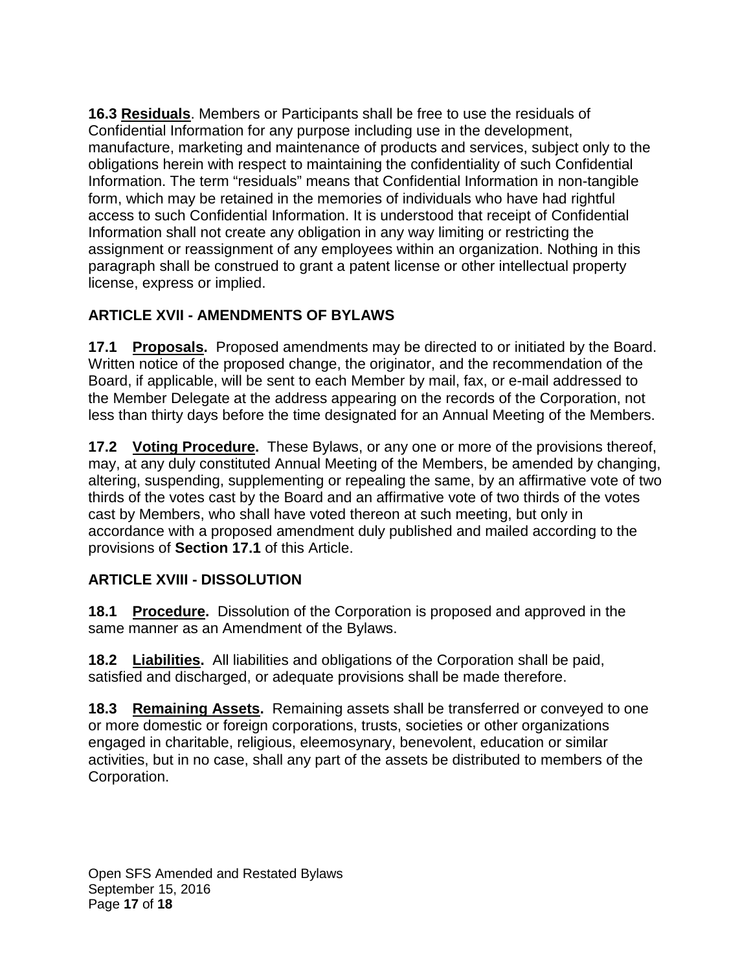**16.3 Residuals**. Members or Participants shall be free to use the residuals of Confidential Information for any purpose including use in the development, manufacture, marketing and maintenance of products and services, subject only to the obligations herein with respect to maintaining the confidentiality of such Confidential Information. The term "residuals" means that Confidential Information in non-tangible form, which may be retained in the memories of individuals who have had rightful access to such Confidential Information. It is understood that receipt of Confidential Information shall not create any obligation in any way limiting or restricting the assignment or reassignment of any employees within an organization. Nothing in this paragraph shall be construed to grant a patent license or other intellectual property license, express or implied.

### **ARTICLE XVII - AMENDMENTS OF BYLAWS**

**17.1 Proposals.** Proposed amendments may be directed to or initiated by the Board. Written notice of the proposed change, the originator, and the recommendation of the Board, if applicable, will be sent to each Member by mail, fax, or e-mail addressed to the Member Delegate at the address appearing on the records of the Corporation, not less than thirty days before the time designated for an Annual Meeting of the Members.

**17.2 Voting Procedure.** These Bylaws, or any one or more of the provisions thereof, may, at any duly constituted Annual Meeting of the Members, be amended by changing, altering, suspending, supplementing or repealing the same, by an affirmative vote of two thirds of the votes cast by the Board and an affirmative vote of two thirds of the votes cast by Members, who shall have voted thereon at such meeting, but only in accordance with a proposed amendment duly published and mailed according to the provisions of **Section 17.1** of this Article.

#### **ARTICLE XVIII - DISSOLUTION**

**18.1 Procedure.** Dissolution of the Corporation is proposed and approved in the same manner as an Amendment of the Bylaws.

**18.2 Liabilities.** All liabilities and obligations of the Corporation shall be paid, satisfied and discharged, or adequate provisions shall be made therefore.

**18.3 Remaining Assets.** Remaining assets shall be transferred or conveyed to one or more domestic or foreign corporations, trusts, societies or other organizations engaged in charitable, religious, eleemosynary, benevolent, education or similar activities, but in no case, shall any part of the assets be distributed to members of the Corporation.

Open SFS Amended and Restated Bylaws September 15, 2016 Page **17** of **18**